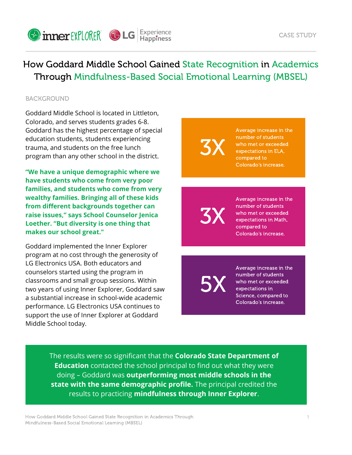

How Goddard Middle School Gained State Recognition in Academics Through Mindfulness-Based Social Emotional Learning (MBSEL)

#### **BACKGROUND**

Goddard Middle School is located in Littleton, Colorado, and serves students grades 6-8. Goddard has the highest percentage of special education students, students experiencing trauma, and students on the free lunch program than any other school in the district.

**"We have a unique demographic where we have students who come from very poor families, and students who come from very wealthy families. Bringing all of these kids from different backgrounds together can raise issues," says School Counselor Jenica Loether. "But diversity is one thing that makes our school great."**

Goddard implemented the Inner Explorer program at no cost through the generosity of LG Electronics USA. Both educators and counselors started using the program in classrooms and small group sessions. Within two years of using Inner Explorer, Goddard saw a substantial increase in school-wide academic performance. LG Electronics USA continues to support the use of Inner Explorer at Goddard Middle School today.

3X number of students who met or exceeded expectations in ELA, compared to Colorado's increase.

3X Average increase in the number of students who met or exceeded expectations in Math, compared to Colorado's increase.

5X

Average increase in the number of students who met or exceeded expectations in Science, compared to Colorado's increase.

Average increase in the

The results were so significant that the **Colorado State Department of Education** contacted the school principal to find out what they were doing – Goddard was **outperforming most middle schools in the state with the same demographic profile.** The principal credited the results to practicing **mindfulness through Inner Explorer**.

How Goddard Middle School Gained State Recognition in Academics Through Mindfulness-Based Social Emotional Learning (MBSEL)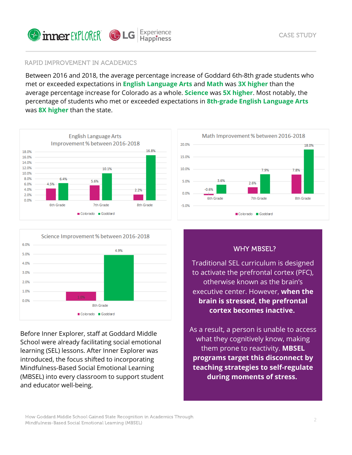

# RAPID IMPROVEMENT IN ACADEMICS

Between 2016 and 2018, the average percentage increase of Goddard 6th-8th grade students who met or exceeded expectations in **English Language Arts** and **Math** was **3X higher** than the average percentage increase for Colorado as a whole. **Science** was **5X higher**. Most notably, the percentage of students who met or exceeded expectations in **8th-grade English Language Arts** was **8X higher** than the state.





Before Inner Explorer, staff at Goddard Middle School were already facilitating social emotional learning (SEL) lessons. After Inner Explorer was introduced, the focus shifted to incorporating Mindfulness-Based Social Emotional Learning (MBSEL) into every classroom to support student and educator well-being.



# WHY MBSEL?

Traditional SEL curriculum is designed to activate the prefrontal cortex (PFC), otherwise known as the brain's executive center. However, **when the brain is stressed, the prefrontal cortex becomes inactive.**

As a result, a person is unable to access what they cognitively know, making them prone to reactivity. **MBSEL programs target this disconnect by teaching strategies to self-regulate during moments of stress.**